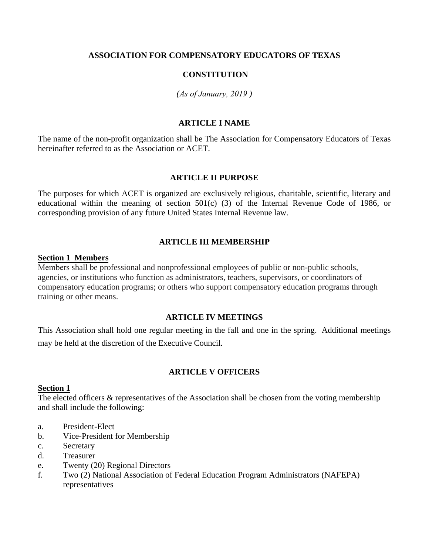# **ASSOCIATION FOR COMPENSATORY EDUCATORS OF TEXAS**

# **CONSTITUTION**

# *(As of January, 2019 )*

# **ARTICLE I NAME**

The name of the non-profit organization shall be The Association for Compensatory Educators of Texas hereinafter referred to as the Association or ACET.

#### **ARTICLE II PURPOSE**

The purposes for which ACET is organized are exclusively religious, charitable, scientific, literary and educational within the meaning of section 501(c) (3) of the Internal Revenue Code of 1986, or corresponding provision of any future United States Internal Revenue law.

# **ARTICLE III MEMBERSHIP**

#### **Section 1 Members**

Members shall be professional and nonprofessional employees of public or non-public schools, agencies, or institutions who function as administrators, teachers, supervisors, or coordinators of compensatory education programs; or others who support compensatory education programs through training or other means.

# **ARTICLE IV MEETINGS**

This Association shall hold one regular meeting in the fall and one in the spring. Additional meetings may be held at the discretion of the Executive Council.

# **ARTICLE V OFFICERS**

### **Section 1**

The elected officers & representatives of the Association shall be chosen from the voting membership and shall include the following:

- a. President-Elect
- b. Vice-President for Membership
- c. Secretary
- d. Treasurer
- e. Twenty (20) Regional Directors
- f. Two (2) National Association of Federal Education Program Administrators (NAFEPA) representatives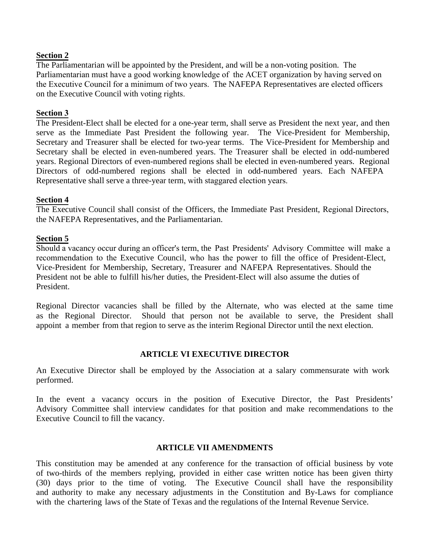# **Section 2**

The Parliamentarian will be appointed by the President, and will be a non-voting position. The Parliamentarian must have a good working knowledge of the ACET organization by having served on the Executive Council for a minimum of two years. The NAFEPA Representatives are elected officers on the Executive Council with voting rights.

### **Section 3**

The President-Elect shall be elected for a one-year term, shall serve as President the next year, and then serve as the Immediate Past President the following year. The Vice-President for Membership, Secretary and Treasurer shall be elected for two-year terms. The Vice-President for Membership and Secretary shall be elected in even-numbered years. The Treasurer shall be elected in odd-numbered years. Regional Directors of even-numbered regions shall be elected in even-numbered years. Regional Directors of odd-numbered regions shall be elected in odd-numbered years. Each NAFEPA Representative shall serve a three-year term, with staggared election years.

### **Section 4**

The Executive Council shall consist of the Officers, the Immediate Past President, Regional Directors, the NAFEPA Representatives, and the Parliamentarian.

### **Section 5**

Should a vacancy occur during an officer's term, the Past Presidents' Advisory Committee will make a recommendation to the Executive Council, who has the power to fill the office of President-Elect, Vice-President for Membership, Secretary, Treasurer and NAFEPA Representatives. Should the President not be able to fulfill his/her duties, the President-Elect will also assume the duties of President.

Regional Director vacancies shall be filled by the Alternate, who was elected at the same time as the Regional Director. Should that person not be available to serve, the President shall appoint a member from that region to serve as the interim Regional Director until the next election.

# **ARTICLE VI EXECUTIVE DIRECTOR**

An Executive Director shall be employed by the Association at a salary commensurate with work performed.

In the event a vacancy occurs in the position of Executive Director, the Past Presidents' Advisory Committee shall interview candidates for that position and make recommendations to the Executive Council to fill the vacancy.

#### **ARTICLE VII AMENDMENTS**

This constitution may be amended at any conference for the transaction of official business by vote of two-thirds of the members replying, provided in either case written notice has been given thirty (30) days prior to the time of voting. The Executive Council shall have the responsibility and authority to make any necessary adjustments in the Constitution and By-Laws for compliance with the chartering laws of the State of Texas and the regulations of the Internal Revenue Service.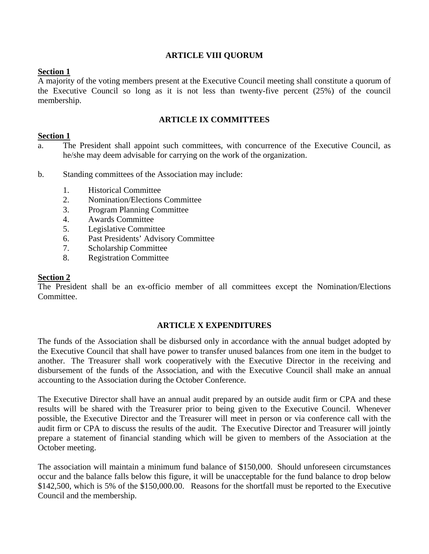# **ARTICLE VIII QUORUM**

# **Section 1**

A majority of the voting members present at the Executive Council meeting shall constitute a quorum of the Executive Council so long as it is not less than twenty-five percent (25%) of the council membership.

# **ARTICLE IX COMMITTEES**

### **Section 1**

- a. The President shall appoint such committees, with concurrence of the Executive Council, as he/she may deem advisable for carrying on the work of the organization.
- b. Standing committees of the Association may include:
	- 1. Historical Committee
	- 2. Nomination/Elections Committee
	- 3. Program Planning Committee
	- 4. Awards Committee
	- 5. Legislative Committee
	- 6. Past Presidents' Advisory Committee
	- 7. Scholarship Committee
	- 8. Registration Committee

#### **Section 2**

The President shall be an ex-officio member of all committees except the Nomination/Elections Committee.

# **ARTICLE X EXPENDITURES**

The funds of the Association shall be disbursed only in accordance with the annual budget adopted by the Executive Council that shall have power to transfer unused balances from one item in the budget to another. The Treasurer shall work cooperatively with the Executive Director in the receiving and disbursement of the funds of the Association, and with the Executive Council shall make an annual accounting to the Association during the October Conference.

The Executive Director shall have an annual audit prepared by an outside audit firm or CPA and these results will be shared with the Treasurer prior to being given to the Executive Council. Whenever possible, the Executive Director and the Treasurer will meet in person or via conference call with the audit firm or CPA to discuss the results of the audit. The Executive Director and Treasurer will jointly prepare a statement of financial standing which will be given to members of the Association at the October meeting.

The association will maintain a minimum fund balance of \$150,000. Should unforeseen circumstances occur and the balance falls below this figure, it will be unacceptable for the fund balance to drop below \$142,500, which is 5% of the \$150,000.00. Reasons for the shortfall must be reported to the Executive Council and the membership.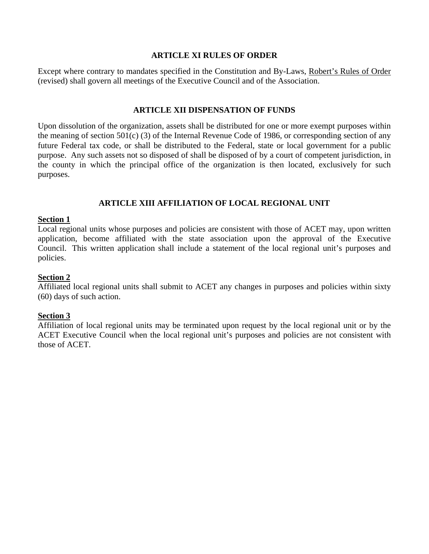### **ARTICLE XI RULES OF ORDER**

Except where contrary to mandates specified in the Constitution and By-Laws, Robert's Rules of Order (revised) shall govern all meetings of the Executive Council and of the Association.

# **ARTICLE XII DISPENSATION OF FUNDS**

Upon dissolution of the organization, assets shall be distributed for one or more exempt purposes within the meaning of section 501(c) (3) of the Internal Revenue Code of 1986, or corresponding section of any future Federal tax code, or shall be distributed to the Federal, state or local government for a public purpose. Any such assets not so disposed of shall be disposed of by a court of competent jurisdiction, in the county in which the principal office of the organization is then located, exclusively for such purposes.

# **ARTICLE XIII AFFILIATION OF LOCAL REGIONAL UNIT**

### **Section 1**

Local regional units whose purposes and policies are consistent with those of ACET may, upon written application, become affiliated with the state association upon the approval of the Executive Council. This written application shall include a statement of the local regional unit's purposes and policies.

### **Section 2**

Affiliated local regional units shall submit to ACET any changes in purposes and policies within sixty (60) days of such action.

#### **Section 3**

Affiliation of local regional units may be terminated upon request by the local regional unit or by the ACET Executive Council when the local regional unit's purposes and policies are not consistent with those of ACET.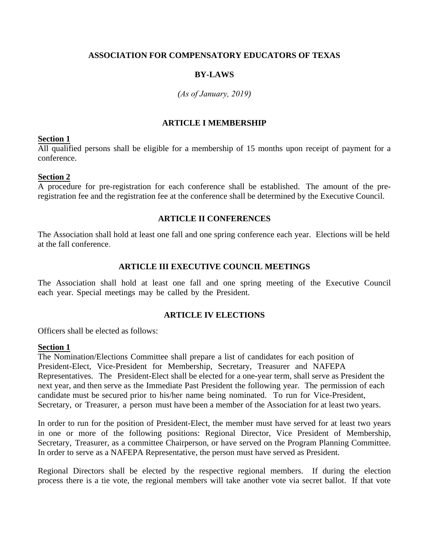# **ASSOCIATION FOR COMPENSATORY EDUCATORS OF TEXAS**

# **BY-LAWS**

# *(As of January, 2019)*

# **ARTICLE I MEMBERSHIP**

### **Section 1**

All qualified persons shall be eligible for a membership of 15 months upon receipt of payment for a conference.

# **Section 2**

A procedure for pre-registration for each conference shall be established. The amount of the preregistration fee and the registration fee at the conference shall be determined by the Executive Council.

# **ARTICLE II CONFERENCES**

The Association shall hold at least one fall and one spring conference each year. Elections will be held at the fall conference.

# **ARTICLE III EXECUTIVE COUNCIL MEETINGS**

The Association shall hold at least one fall and one spring meeting of the Executive Council each year. Special meetings may be called by the President.

# **ARTICLE IV ELECTIONS**

Officers shall be elected as follows:

#### **Section 1**

The Nomination/Elections Committee shall prepare a list of candidates for each position of President-Elect, Vice-President for Membership, Secretary, Treasurer and NAFEPA Representatives. The President-Elect shall be elected for a one-year term, shall serve as President the next year, and then serve as the Immediate Past President the following year. The permission of each candidate must be secured prior to his/her name being nominated. To run for Vice-President, Secretary, or Treasurer, a person must have been a member of the Association for at least two years.

In order to run for the position of President-Elect, the member must have served for at least two years in one or more of the following positions: Regional Director, Vice President of Membership, Secretary, Treasurer, as a committee Chairperson, or have served on the Program Planning Committee. In order to serve as a NAFEPA Representative, the person must have served as President.

Regional Directors shall be elected by the respective regional members. If during the election process there is a tie vote, the regional members will take another vote via secret ballot. If that vote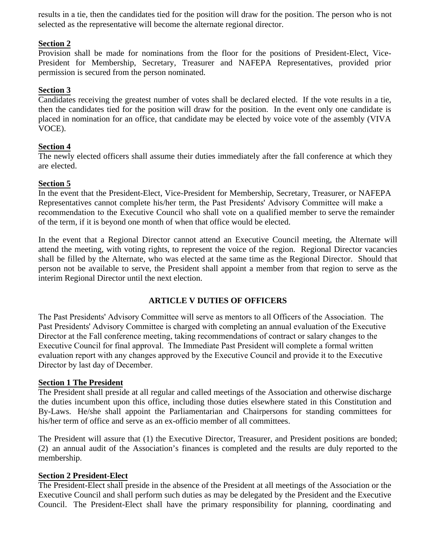results in a tie, then the candidates tied for the position will draw for the position. The person who is not selected as the representative will become the alternate regional director.

# **Section 2**

Provision shall be made for nominations from the floor for the positions of President-Elect, Vice-President for Membership, Secretary, Treasurer and NAFEPA Representatives, provided prior permission is secured from the person nominated.

# **Section 3**

Candidates receiving the greatest number of votes shall be declared elected. If the vote results in a tie, then the candidates tied for the position will draw for the position. In the event only one candidate is placed in nomination for an office, that candidate may be elected by voice vote of the assembly (VIVA VOCE).

# **Section 4**

The newly elected officers shall assume their duties immediately after the fall conference at which they are elected.

# **Section 5**

In the event that the President-Elect, Vice-President for Membership, Secretary, Treasurer, or NAFEPA Representatives cannot complete his/her term, the Past Presidents' Advisory Committee will make a recommendation to the Executive Council who shall vote on a qualified member to serve the remainder of the term, if it is beyond one month of when that office would be elected.

In the event that a Regional Director cannot attend an Executive Council meeting, the Alternate will attend the meeting, with voting rights, to represent the voice of the region. Regional Director vacancies shall be filled by the Alternate, who was elected at the same time as the Regional Director. Should that person not be available to serve, the President shall appoint a member from that region to serve as the interim Regional Director until the next election.

# **ARTICLE V DUTIES OF OFFICERS**

The Past Presidents' Advisory Committee will serve as mentors to all Officers of the Association. The Past Presidents' Advisory Committee is charged with completing an annual evaluation of the Executive Director at the Fall conference meeting, taking recommendations of contract or salary changes to the Executive Council for final approval. The Immediate Past President will complete a formal written evaluation report with any changes approved by the Executive Council and provide it to the Executive Director by last day of December.

# **Section 1 The President**

The President shall preside at all regular and called meetings of the Association and otherwise discharge the duties incumbent upon this office, including those duties elsewhere stated in this Constitution and By-Laws. He/she shall appoint the Parliamentarian and Chairpersons for standing committees for his/her term of office and serve as an ex-officio member of all committees.

The President will assure that (1) the Executive Director, Treasurer, and President positions are bonded; (2) an annual audit of the Association's finances is completed and the results are duly reported to the membership.

# **Section 2 President-Elect**

The President-Elect shall preside in the absence of the President at all meetings of the Association or the Executive Council and shall perform such duties as may be delegated by the President and the Executive Council. The President-Elect shall have the primary responsibility for planning, coordinating and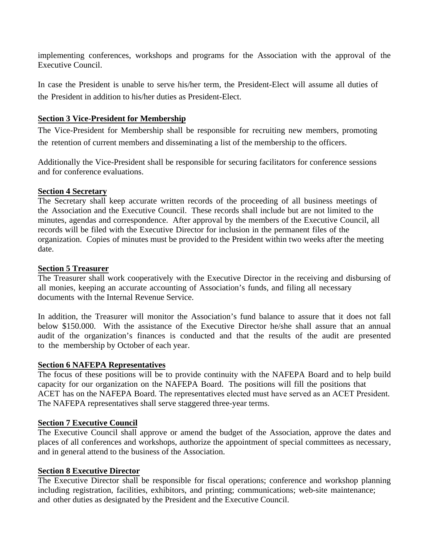implementing conferences, workshops and programs for the Association with the approval of the Executive Council.

In case the President is unable to serve his/her term, the President-Elect will assume all duties of the President in addition to his/her duties as President-Elect.

# **Section 3 Vice-President for Membership**

The Vice-President for Membership shall be responsible for recruiting new members, promoting the retention of current members and disseminating a list of the membership to the officers.

Additionally the Vice-President shall be responsible for securing facilitators for conference sessions and for conference evaluations.

# **Section 4 Secretary**

The Secretary shall keep accurate written records of the proceeding of all business meetings of the Association and the Executive Council. These records shall include but are not limited to the minutes, agendas and correspondence. After approval by the members of the Executive Council, all records will be filed with the Executive Director for inclusion in the permanent files of the organization. Copies of minutes must be provided to the President within two weeks after the meeting date.

### **Section 5 Treasurer**

The Treasurer shall work cooperatively with the Executive Director in the receiving and disbursing of all monies, keeping an accurate accounting of Association's funds, and filing all necessary documents with the Internal Revenue Service.

In addition, the Treasurer will monitor the Association's fund balance to assure that it does not fall below \$150.000. With the assistance of the Executive Director he/she shall assure that an annual audit of the organization's finances is conducted and that the results of the audit are presented to the membership by October of each year.

# **Section 6 NAFEPA Representatives**

The focus of these positions will be to provide continuity with the NAFEPA Board and to help build capacity for our organization on the NAFEPA Board. The positions will fill the positions that ACET has on the NAFEPA Board. The representatives elected must have served as an ACET President. The NAFEPA representatives shall serve staggered three-year terms.

# **Section 7 Executive Council**

The Executive Council shall approve or amend the budget of the Association, approve the dates and places of all conferences and workshops, authorize the appointment of special committees as necessary, and in general attend to the business of the Association.

# **Section 8 Executive Director**

The Executive Director shall be responsible for fiscal operations; conference and workshop planning including registration, facilities, exhibitors, and printing; communications; web-site maintenance; and other duties as designated by the President and the Executive Council.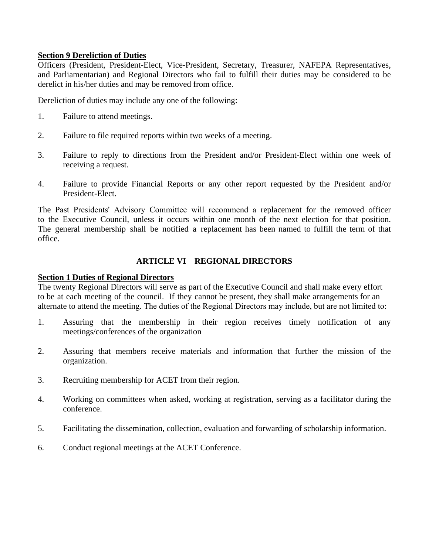# **Section 9 Dereliction of Duties**

Officers (President, President-Elect, Vice-President, Secretary, Treasurer, NAFEPA Representatives, and Parliamentarian) and Regional Directors who fail to fulfill their duties may be considered to be derelict in his/her duties and may be removed from office.

Dereliction of duties may include any one of the following:

- 1. Failure to attend meetings.
- 2. Failure to file required reports within two weeks of a meeting.
- 3. Failure to reply to directions from the President and/or President-Elect within one week of receiving a request.
- 4. Failure to provide Financial Reports or any other report requested by the President and/or President-Elect.

The Past Presidents' Advisory Committee will recommend a replacement for the removed officer to the Executive Council, unless it occurs within one month of the next election for that position. The general membership shall be notified a replacement has been named to fulfill the term of that office.

# **ARTICLE VI REGIONAL DIRECTORS**

# **Section 1 Duties of Regional Directors**

The twenty Regional Directors will serve as part of the Executive Council and shall make every effort to be at each meeting of the council. If they cannot be present, they shall make arrangements for an alternate to attend the meeting. The duties of the Regional Directors may include, but are not limited to:

- 1. Assuring that the membership in their region receives timely notification of any meetings/conferences of the organization
- 2. Assuring that members receive materials and information that further the mission of the organization.
- 3. Recruiting membership for ACET from their region.
- 4. Working on committees when asked, working at registration, serving as a facilitator during the conference.
- 5. Facilitating the dissemination, collection, evaluation and forwarding of scholarship information.
- 6. Conduct regional meetings at the ACET Conference.